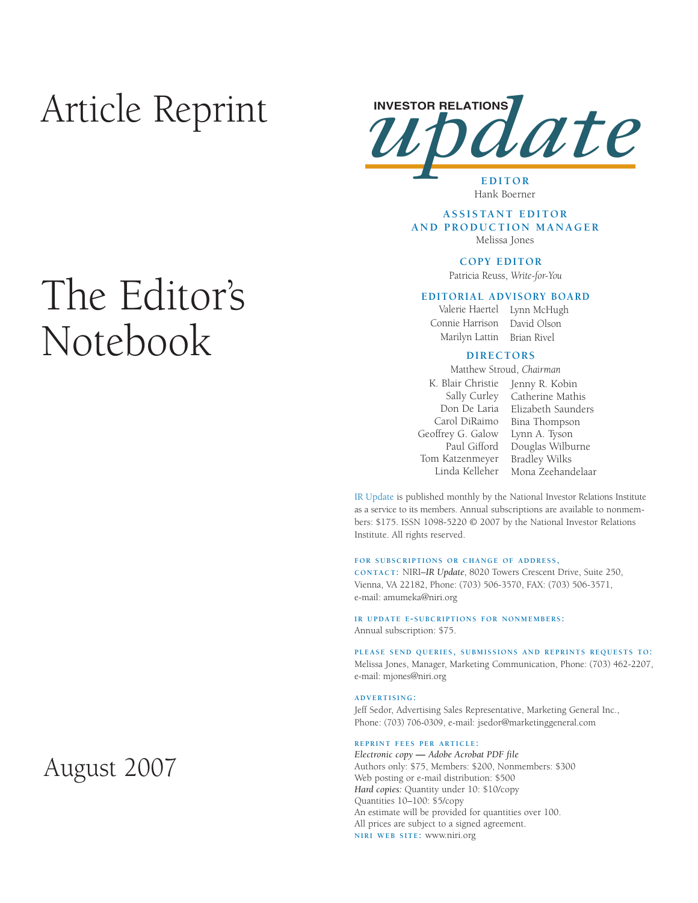# Article Reprint

# The Editor's Notebook



# Hank Boerner

#### **ASSISTANT EDITOR AND PRODUCTION MANAGER** Melissa Jones

# **COPY EDITOR**

Patricia Reuss, *Write-for-You*

#### **EDITORIAL ADVISORY BOARD**

Connie Harrison David Olson

Valerie Haertel Lynn McHugh Marilyn Lattin Brian Rivel

#### **DIRECTORS**

Matthew Stroud, *Chairman*

- Geoffrey G. Galow Lynn A. Tyson Tom Katzenmeyer Bradley Wilks
- K. Blair Christie Jenny R. Kobin Sally Curley Catherine Mathis Don De Laria Elizabeth Saunders Carol DiRaimo Bina Thompson Paul Gifford Douglas Wilburne Linda Kelleher Mona Zeehandelaar

IR Update is published monthly by the National Investor Relations Institute as a service to its members. Annual subscriptions are available to nonmembers: \$175. ISSN 1098-5220 © 2007 by the National Investor Relations Institute. All rights reserved.

#### **FOR SUBSCRIPTIONS OR CHANGE OF ADDRESS,**

**CONTACT:** NIRI–*IR Update*, 8020 Towers Crescent Drive, Suite 250, Vienna, VA 22182, Phone: (703) 506-3570, FAX: (703) 506-3571, e-mail: amumeka@niri.org

#### **IR UPDATE E-SUBCRIPTIONS FOR NONMEMBERS:**  Annual subscription: \$75.

**PLEASE SEND QUERIES, SUBMISSIONS AND REPRINTS REQUESTS TO:** Melissa Jones, Manager, Marketing Communication, Phone: (703) 462-2207, e-mail: mjones@niri.org

#### **ADVERTISING:**

Jeff Sedor, Advertising Sales Representative, Marketing General Inc., Phone: (703) 706-0309, e-mail: jsedor@marketinggeneral.com

#### **REPRINT FEES PER ARTICLE:**

*Electronic copy* **—** *Adobe Acrobat PDF file*  Authors only: \$75, Members: \$200, Nonmembers: \$300 Web posting or e-mail distribution: \$500 *Hard copies:* Quantity under 10: \$10/copy Quantities 10–100: \$5/copy An estimate will be provided for quantities over 100. All prices are subject to a signed agreement. **NIRI WEB SITE:** www.niri.org

# August 2007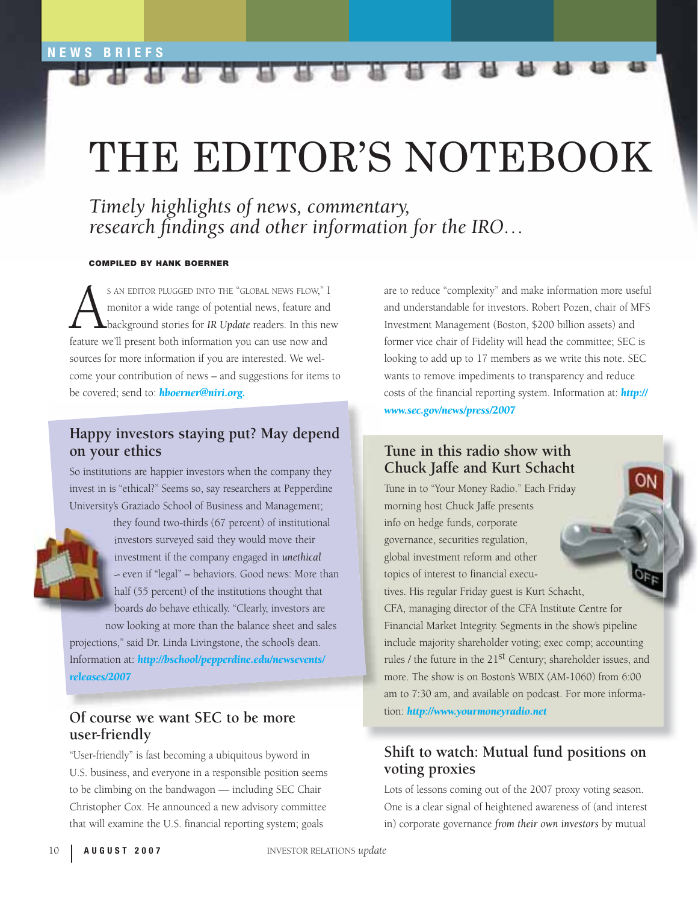# THE EDITOR'S NOTEBOOK

*Timely highlights of news, commentary, research findings and other information for the IRO...* 

#### **COMPILED BY HANK BOERNER**

S AN EDITOR PLUGGED INTO THE "GLOBAL NEWS FLOW," I<br>monitor a wide range of potential news, feature and<br>background stories for IR Update readers. In this new<br>feature we'll present both information you can use now and monitor a wide range of potential news, feature and background stories for *IR Update* readers. In this new feature we'll present both information you can use now and sources for more information if you are interested. We welcome your contribution of news – and suggestions for items to be covered; send to: *[hboerner@niri.org.](mailto:hboerner@niri.org)* 

# **Happy investors staying put? May depend on your ethics**

So institutions are happier investors when the company they invest in is "ethical?" Seems so, say researchers at Pepperdine University's Graziado School of Business and Management;



they found two-thirds (67 percent) of institutional investors surveyed said they would move their investment if the company engaged in *unethical*  – even if "legal" – behaviors. Good news: More than half (55 percent) of the institutions thought that boards *d*o behave ethically. "Clearly, investors are now looking at more than the balance sheet and sales

projections," said Dr. Linda Livingstone, the school's dean. Information at: *[http://bschool/pepperdine.edu/newsevents/](http://bschool/pepperdine.edu/newsevents/releases/2007) [releases/2007](http://bschool/pepperdine.edu/newsevents/releases/2007)*

### **Of course we want SEC to be more user-friendly**

"User-friendly" is fast becoming a ubiquitous byword in U.S. business, and everyone in a responsible position seems to be climbing on the bandwagon — including SEC Chair Christopher Cox. He announced a new advisory committee that will examine the U.S. financial reporting system; goals

are to reduce "complexity" and make information more useful and understandable for investors. Robert Pozen, chair of MFS Investment Management (Boston, \$200 billion assets) and former vice chair of Fidelity will head the committee; SEC is looking to add up to 17 members as we write this note. SEC wants to remove impediments to transparency and reduce costs of the financial reporting system. Information at: *http:// [www.sec.gov/news/press/2007](http://www.sec.gov/news/press/2007)*

# **Tune in this radio show with Chuck Jaffe and Kurt Schacht**

Tune in to "Your Money Radio." Each Friday morning host Chuck Jaffe presents info on hedge funds, corporate governance, securities regulation, global investment reform and other topics of interest to financial executives. His regular Friday guest is Kurt Schacht, CFA, managing director of the CFA Institute Centre for Financial Market Integrity. Segments in the show's pipeline include majority shareholder voting; exec comp; accounting rules / the future in the 21<sup>st</sup> Century; shareholder issues, and more. The show is on Boston's WBIX (AM-1060) from 6:00 am to 7:30 am, and available on podcast. For more information: *<http://www.yourmoneyradio.net>*

# **Shift to watch: Mutual fund positions on voting proxies**

Lots of lessons coming out of the 2007 proxy voting season. One is a clear signal of heightened awareness of (and interest in) corporate governance *from their own investors* by mutual